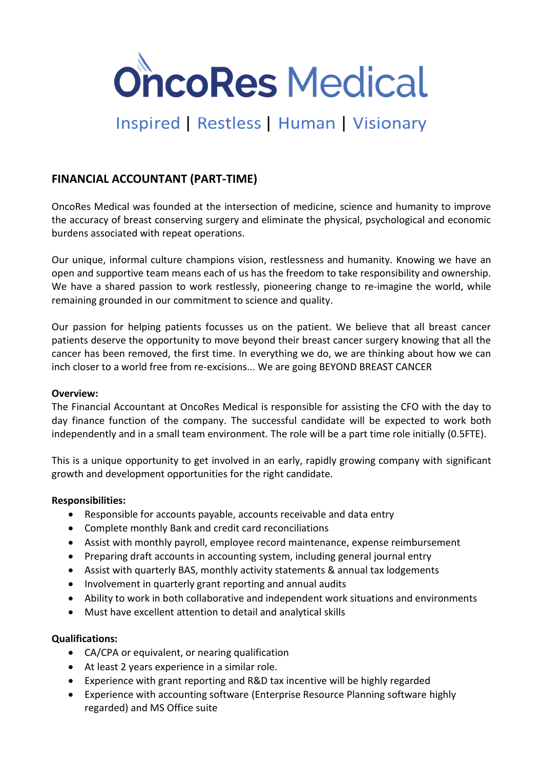

# Inspired | Restless | Human | Visionary

## **FINANCIAL ACCOUNTANT (PART-TIME)**

OncoRes Medical was founded at the intersection of medicine, science and humanity to improve the accuracy of breast conserving surgery and eliminate the physical, psychological and economic burdens associated with repeat operations.

Our unique, informal culture champions vision, restlessness and humanity. Knowing we have an open and supportive team means each of us has the freedom to take responsibility and ownership. We have a shared passion to work restlessly, pioneering change to re-imagine the world, while remaining grounded in our commitment to science and quality.

Our passion for helping patients focusses us on the patient. We believe that all breast cancer patients deserve the opportunity to move beyond their breast cancer surgery knowing that all the cancer has been removed, the first time. In everything we do, we are thinking about how we can inch closer to a world free from re-excisions... We are going BEYOND BREAST CANCER

### **Overview:**

The Financial Accountant at OncoRes Medical is responsible for assisting the CFO with the day to day finance function of the company. The successful candidate will be expected to work both independently and in a small team environment. The role will be a part time role initially (0.5FTE).

This is a unique opportunity to get involved in an early, rapidly growing company with significant growth and development opportunities for the right candidate.

### **Responsibilities:**

- Responsible for accounts payable, accounts receivable and data entry
- Complete monthly Bank and credit card reconciliations
- Assist with monthly payroll, employee record maintenance, expense reimbursement
- Preparing draft accounts in accounting system, including general journal entry
- Assist with quarterly BAS, monthly activity statements & annual tax lodgements
- Involvement in quarterly grant reporting and annual audits
- Ability to work in both collaborative and independent work situations and environments
- Must have excellent attention to detail and analytical skills

### **Qualifications:**

- CA/CPA or equivalent, or nearing qualification
- At least 2 years experience in a similar role.
- Experience with grant reporting and R&D tax incentive will be highly regarded
- Experience with accounting software (Enterprise Resource Planning software highly regarded) and MS Office suite